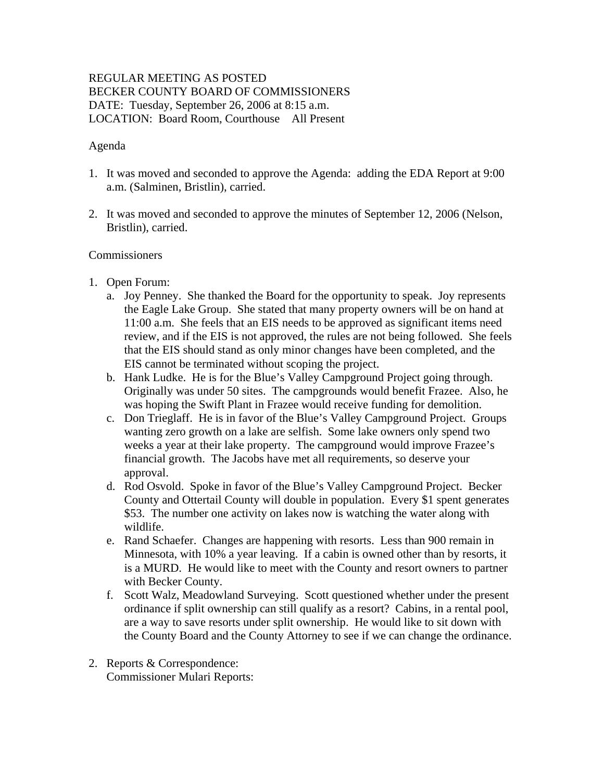# REGULAR MEETING AS POSTED BECKER COUNTY BOARD OF COMMISSIONERS DATE: Tuesday, September 26, 2006 at 8:15 a.m. LOCATION: Board Room, Courthouse All Present

## Agenda

- 1. It was moved and seconded to approve the Agenda: adding the EDA Report at 9:00 a.m. (Salminen, Bristlin), carried.
- 2. It was moved and seconded to approve the minutes of September 12, 2006 (Nelson, Bristlin), carried.

## **Commissioners**

- 1. Open Forum:
	- a. Joy Penney. She thanked the Board for the opportunity to speak. Joy represents the Eagle Lake Group. She stated that many property owners will be on hand at 11:00 a.m. She feels that an EIS needs to be approved as significant items need review, and if the EIS is not approved, the rules are not being followed. She feels that the EIS should stand as only minor changes have been completed, and the EIS cannot be terminated without scoping the project.
	- b. Hank Ludke. He is for the Blue's Valley Campground Project going through. Originally was under 50 sites. The campgrounds would benefit Frazee. Also, he was hoping the Swift Plant in Frazee would receive funding for demolition.
	- c. Don Trieglaff. He is in favor of the Blue's Valley Campground Project. Groups wanting zero growth on a lake are selfish. Some lake owners only spend two weeks a year at their lake property. The campground would improve Frazee's financial growth. The Jacobs have met all requirements, so deserve your approval.
	- d. Rod Osvold. Spoke in favor of the Blue's Valley Campground Project. Becker County and Ottertail County will double in population. Every \$1 spent generates \$53. The number one activity on lakes now is watching the water along with wildlife.
	- e. Rand Schaefer. Changes are happening with resorts. Less than 900 remain in Minnesota, with 10% a year leaving. If a cabin is owned other than by resorts, it is a MURD. He would like to meet with the County and resort owners to partner with Becker County.
	- f. Scott Walz, Meadowland Surveying. Scott questioned whether under the present ordinance if split ownership can still qualify as a resort? Cabins, in a rental pool, are a way to save resorts under split ownership. He would like to sit down with the County Board and the County Attorney to see if we can change the ordinance.
- 2. Reports & Correspondence: Commissioner Mulari Reports: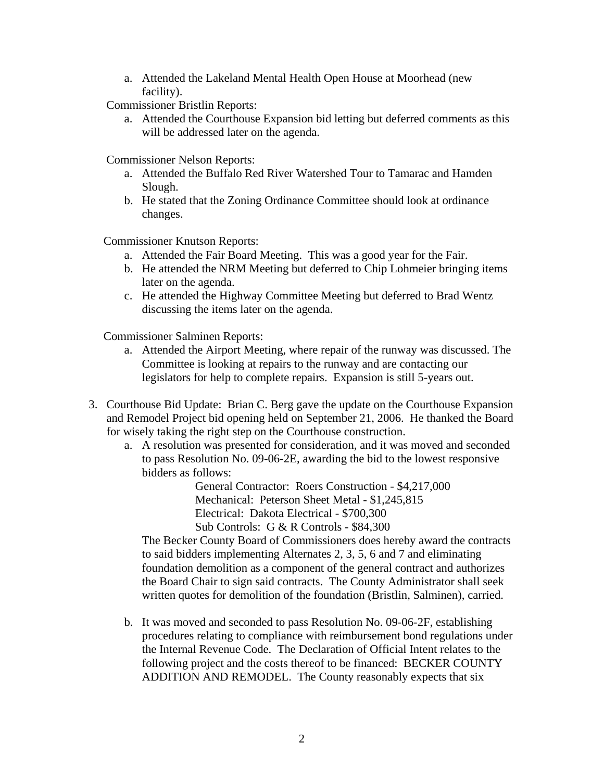a. Attended the Lakeland Mental Health Open House at Moorhead (new facility).

Commissioner Bristlin Reports:

a. Attended the Courthouse Expansion bid letting but deferred comments as this will be addressed later on the agenda.

Commissioner Nelson Reports:

- a. Attended the Buffalo Red River Watershed Tour to Tamarac and Hamden Slough.
- b. He stated that the Zoning Ordinance Committee should look at ordinance changes.

Commissioner Knutson Reports:

- a. Attended the Fair Board Meeting. This was a good year for the Fair.
- b. He attended the NRM Meeting but deferred to Chip Lohmeier bringing items later on the agenda.
- c. He attended the Highway Committee Meeting but deferred to Brad Wentz discussing the items later on the agenda.

Commissioner Salminen Reports:

- a. Attended the Airport Meeting, where repair of the runway was discussed. The Committee is looking at repairs to the runway and are contacting our legislators for help to complete repairs. Expansion is still 5-years out.
- 3. Courthouse Bid Update: Brian C. Berg gave the update on the Courthouse Expansion and Remodel Project bid opening held on September 21, 2006. He thanked the Board for wisely taking the right step on the Courthouse construction.
	- a. A resolution was presented for consideration, and it was moved and seconded to pass Resolution No. 09-06-2E, awarding the bid to the lowest responsive bidders as follows:

General Contractor: Roers Construction - \$4,217,000 Mechanical: Peterson Sheet Metal - \$1,245,815 Electrical: Dakota Electrical - \$700,300

Sub Controls: G & R Controls - \$84,300

The Becker County Board of Commissioners does hereby award the contracts to said bidders implementing Alternates 2, 3, 5, 6 and 7 and eliminating foundation demolition as a component of the general contract and authorizes the Board Chair to sign said contracts. The County Administrator shall seek written quotes for demolition of the foundation (Bristlin, Salminen), carried.

b. It was moved and seconded to pass Resolution No. 09-06-2F, establishing procedures relating to compliance with reimbursement bond regulations under the Internal Revenue Code. The Declaration of Official Intent relates to the following project and the costs thereof to be financed: BECKER COUNTY ADDITION AND REMODEL. The County reasonably expects that six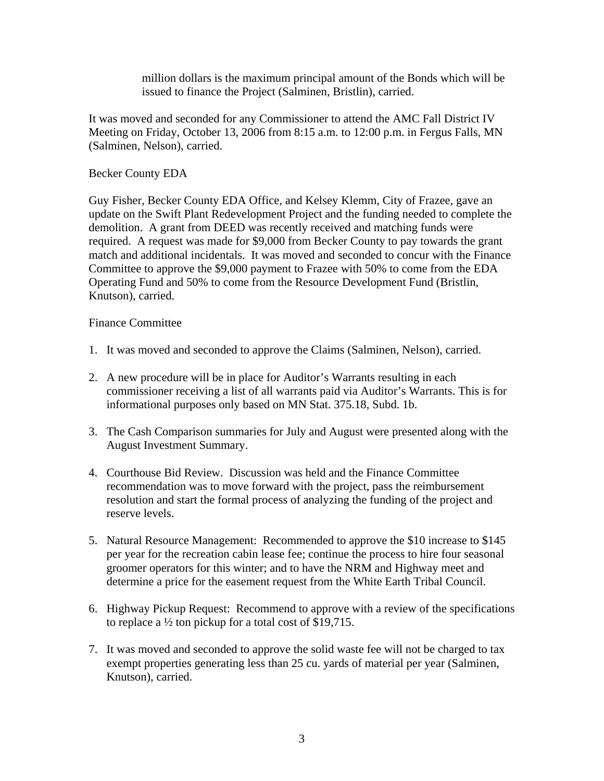million dollars is the maximum principal amount of the Bonds which will be issued to finance the Project (Salminen, Bristlin), carried.

It was moved and seconded for any Commissioner to attend the AMC Fall District IV Meeting on Friday, October 13, 2006 from 8:15 a.m. to 12:00 p.m. in Fergus Falls, MN (Salminen, Nelson), carried.

## Becker County EDA

Guy Fisher, Becker County EDA Office, and Kelsey Klemm, City of Frazee, gave an update on the Swift Plant Redevelopment Project and the funding needed to complete the demolition. A grant from DEED was recently received and matching funds were required. A request was made for \$9,000 from Becker County to pay towards the grant match and additional incidentals. It was moved and seconded to concur with the Finance Committee to approve the \$9,000 payment to Frazee with 50% to come from the EDA Operating Fund and 50% to come from the Resource Development Fund (Bristlin, Knutson), carried.

### Finance Committee

- 1. It was moved and seconded to approve the Claims (Salminen, Nelson), carried.
- 2. A new procedure will be in place for Auditor's Warrants resulting in each commissioner receiving a list of all warrants paid via Auditor's Warrants. This is for informational purposes only based on MN Stat. 375.18, Subd. 1b.
- 3. The Cash Comparison summaries for July and August were presented along with the August Investment Summary.
- 4. Courthouse Bid Review. Discussion was held and the Finance Committee recommendation was to move forward with the project, pass the reimbursement resolution and start the formal process of analyzing the funding of the project and reserve levels.
- 5. Natural Resource Management: Recommended to approve the \$10 increase to \$145 per year for the recreation cabin lease fee; continue the process to hire four seasonal groomer operators for this winter; and to have the NRM and Highway meet and determine a price for the easement request from the White Earth Tribal Council.
- 6. Highway Pickup Request: Recommend to approve with a review of the specifications to replace a ½ ton pickup for a total cost of \$19,715.
- 7. It was moved and seconded to approve the solid waste fee will not be charged to tax exempt properties generating less than 25 cu. yards of material per year (Salminen, Knutson), carried.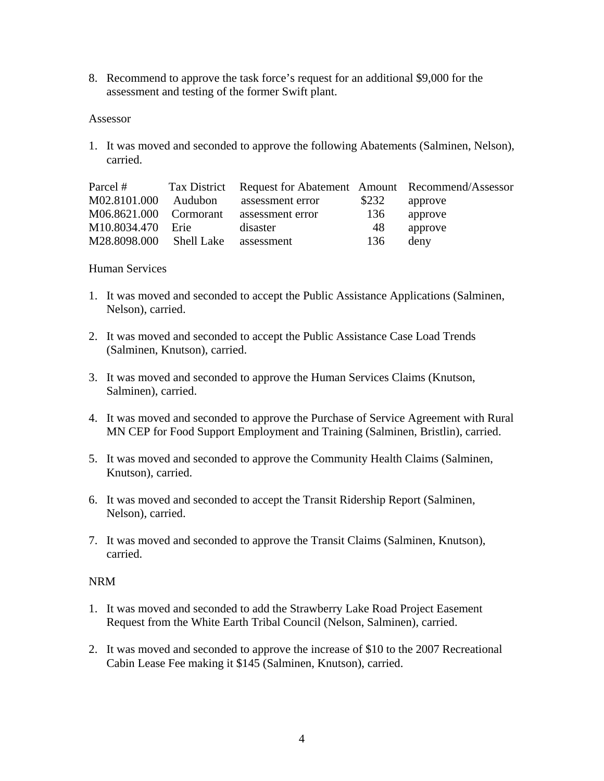8. Recommend to approve the task force's request for an additional \$9,000 for the assessment and testing of the former Swift plant.

#### Assessor

1. It was moved and seconded to approve the following Abatements (Salminen, Nelson), carried.

| Parcel #                           |         | Tax District Request for Abatement Amount Recommend/Assessor |       |         |
|------------------------------------|---------|--------------------------------------------------------------|-------|---------|
| M02.8101.000                       | Audubon | assessment error                                             | \$232 | approve |
| M06.8621.000 Cormorant             |         | assessment error                                             | 136   | approve |
| M10.8034.470 Erie                  |         | disaster                                                     | 48    | approve |
| M28.8098.000 Shell Lake assessment |         |                                                              | 136   | deny    |

#### Human Services

- 1. It was moved and seconded to accept the Public Assistance Applications (Salminen, Nelson), carried.
- 2. It was moved and seconded to accept the Public Assistance Case Load Trends (Salminen, Knutson), carried.
- 3. It was moved and seconded to approve the Human Services Claims (Knutson, Salminen), carried.
- 4. It was moved and seconded to approve the Purchase of Service Agreement with Rural MN CEP for Food Support Employment and Training (Salminen, Bristlin), carried.
- 5. It was moved and seconded to approve the Community Health Claims (Salminen, Knutson), carried.
- 6. It was moved and seconded to accept the Transit Ridership Report (Salminen, Nelson), carried.
- 7. It was moved and seconded to approve the Transit Claims (Salminen, Knutson), carried.

### NRM

- 1. It was moved and seconded to add the Strawberry Lake Road Project Easement Request from the White Earth Tribal Council (Nelson, Salminen), carried.
- 2. It was moved and seconded to approve the increase of \$10 to the 2007 Recreational Cabin Lease Fee making it \$145 (Salminen, Knutson), carried.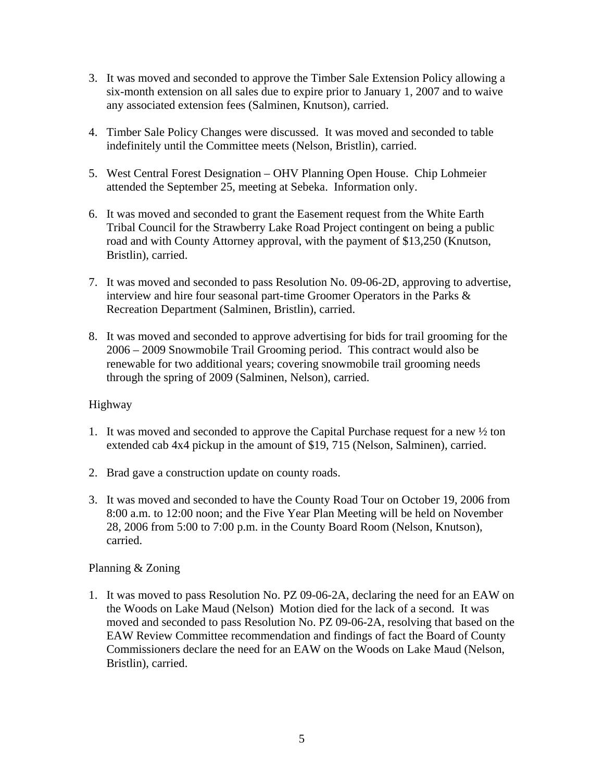- 3. It was moved and seconded to approve the Timber Sale Extension Policy allowing a six-month extension on all sales due to expire prior to January 1, 2007 and to waive any associated extension fees (Salminen, Knutson), carried.
- 4. Timber Sale Policy Changes were discussed. It was moved and seconded to table indefinitely until the Committee meets (Nelson, Bristlin), carried.
- 5. West Central Forest Designation OHV Planning Open House. Chip Lohmeier attended the September 25, meeting at Sebeka. Information only.
- 6. It was moved and seconded to grant the Easement request from the White Earth Tribal Council for the Strawberry Lake Road Project contingent on being a public road and with County Attorney approval, with the payment of \$13,250 (Knutson, Bristlin), carried.
- 7. It was moved and seconded to pass Resolution No. 09-06-2D, approving to advertise, interview and hire four seasonal part-time Groomer Operators in the Parks & Recreation Department (Salminen, Bristlin), carried.
- 8. It was moved and seconded to approve advertising for bids for trail grooming for the 2006 – 2009 Snowmobile Trail Grooming period. This contract would also be renewable for two additional years; covering snowmobile trail grooming needs through the spring of 2009 (Salminen, Nelson), carried.

# Highway

- 1. It was moved and seconded to approve the Capital Purchase request for a new ½ ton extended cab 4x4 pickup in the amount of \$19, 715 (Nelson, Salminen), carried.
- 2. Brad gave a construction update on county roads.
- 3. It was moved and seconded to have the County Road Tour on October 19, 2006 from 8:00 a.m. to 12:00 noon; and the Five Year Plan Meeting will be held on November 28, 2006 from 5:00 to 7:00 p.m. in the County Board Room (Nelson, Knutson), carried.

# Planning & Zoning

1. It was moved to pass Resolution No. PZ 09-06-2A, declaring the need for an EAW on the Woods on Lake Maud (Nelson) Motion died for the lack of a second. It was moved and seconded to pass Resolution No. PZ 09-06-2A, resolving that based on the EAW Review Committee recommendation and findings of fact the Board of County Commissioners declare the need for an EAW on the Woods on Lake Maud (Nelson, Bristlin), carried.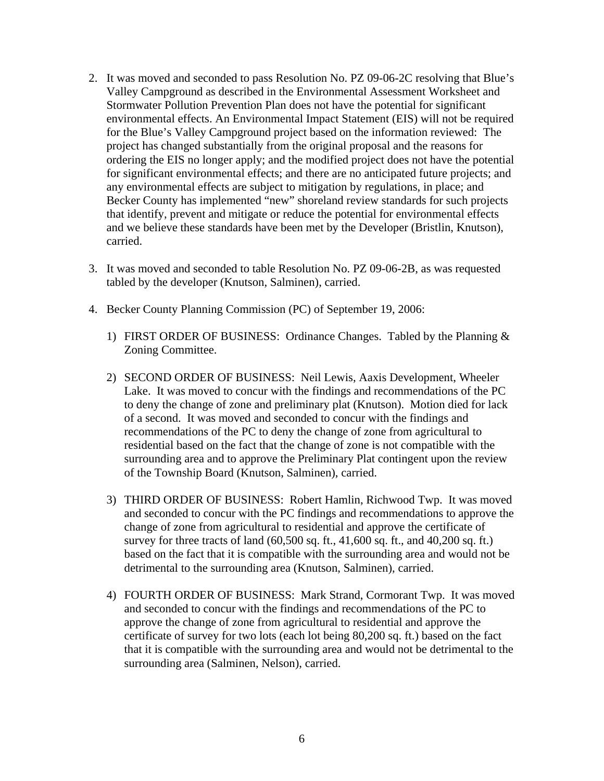- 2. It was moved and seconded to pass Resolution No. PZ 09-06-2C resolving that Blue's Valley Campground as described in the Environmental Assessment Worksheet and Stormwater Pollution Prevention Plan does not have the potential for significant environmental effects. An Environmental Impact Statement (EIS) will not be required for the Blue's Valley Campground project based on the information reviewed: The project has changed substantially from the original proposal and the reasons for ordering the EIS no longer apply; and the modified project does not have the potential for significant environmental effects; and there are no anticipated future projects; and any environmental effects are subject to mitigation by regulations, in place; and Becker County has implemented "new" shoreland review standards for such projects that identify, prevent and mitigate or reduce the potential for environmental effects and we believe these standards have been met by the Developer (Bristlin, Knutson), carried.
- 3. It was moved and seconded to table Resolution No. PZ 09-06-2B, as was requested tabled by the developer (Knutson, Salminen), carried.
- 4. Becker County Planning Commission (PC) of September 19, 2006:
	- 1) FIRST ORDER OF BUSINESS: Ordinance Changes. Tabled by the Planning & Zoning Committee.
	- 2) SECOND ORDER OF BUSINESS: Neil Lewis, Aaxis Development, Wheeler Lake. It was moved to concur with the findings and recommendations of the PC to deny the change of zone and preliminary plat (Knutson). Motion died for lack of a second. It was moved and seconded to concur with the findings and recommendations of the PC to deny the change of zone from agricultural to residential based on the fact that the change of zone is not compatible with the surrounding area and to approve the Preliminary Plat contingent upon the review of the Township Board (Knutson, Salminen), carried.
	- 3) THIRD ORDER OF BUSINESS: Robert Hamlin, Richwood Twp. It was moved and seconded to concur with the PC findings and recommendations to approve the change of zone from agricultural to residential and approve the certificate of survey for three tracts of land (60,500 sq. ft., 41,600 sq. ft., and 40,200 sq. ft.) based on the fact that it is compatible with the surrounding area and would not be detrimental to the surrounding area (Knutson, Salminen), carried.
	- 4) FOURTH ORDER OF BUSINESS: Mark Strand, Cormorant Twp. It was moved and seconded to concur with the findings and recommendations of the PC to approve the change of zone from agricultural to residential and approve the certificate of survey for two lots (each lot being 80,200 sq. ft.) based on the fact that it is compatible with the surrounding area and would not be detrimental to the surrounding area (Salminen, Nelson), carried.